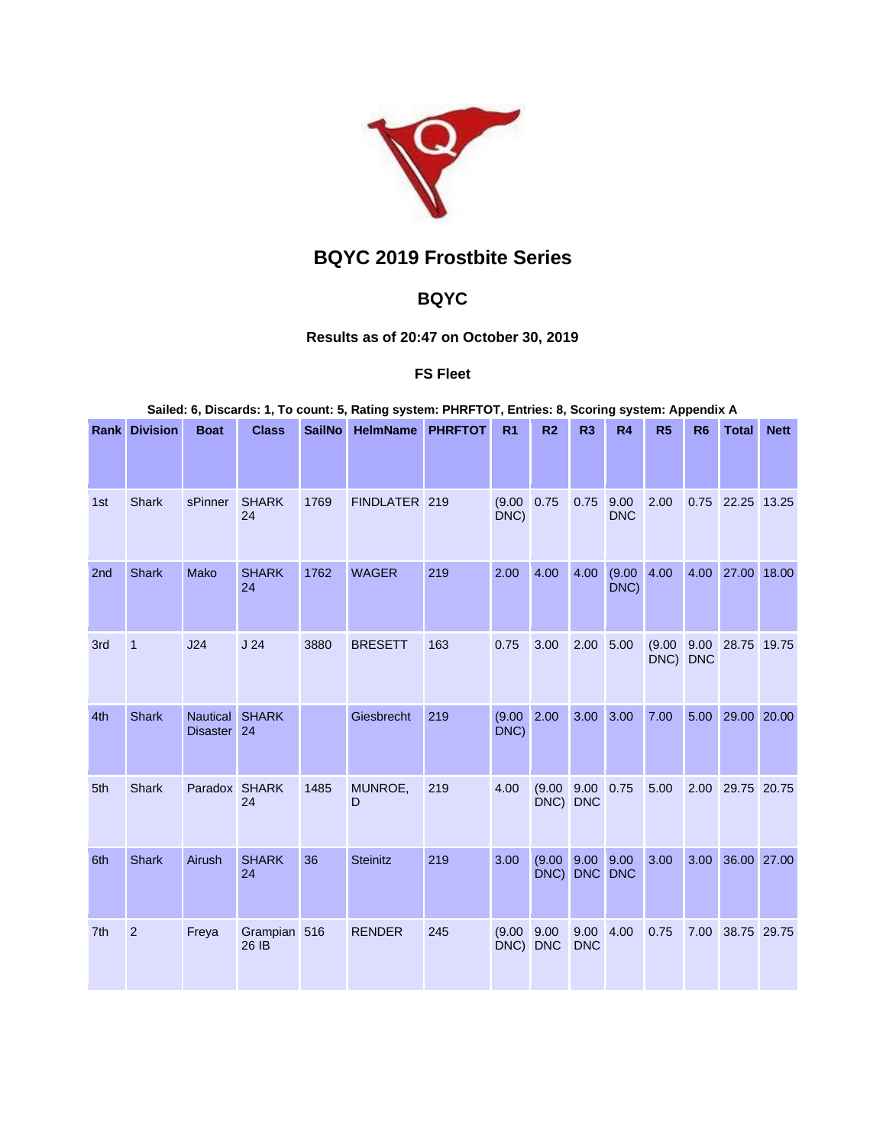

# **BQYC 2019 Frostbite Series**

## **BQYC**

### **Results as of 20:47 on October 30, 2019**

#### **FS Fleet**

**Sailed: 6, Discards: 1, To count: 5, Rating system: PHRFTOT, Entries: 8, Scoring system: Appendix A**

|                 | <b>Rank Division</b> | <b>Boat</b>                              | <b>Class</b>          | <b>SailNo</b> | <b>HelmName</b> | <b>PHRFTOT</b> | R <sub>1</sub> | R <sub>2</sub>     | R3                 | <b>R4</b>          | R <sub>5</sub> | R <sub>6</sub>     | <b>Total</b> | <b>Nett</b> |
|-----------------|----------------------|------------------------------------------|-----------------------|---------------|-----------------|----------------|----------------|--------------------|--------------------|--------------------|----------------|--------------------|--------------|-------------|
| 1st             | <b>Shark</b>         | sPinner                                  | <b>SHARK</b><br>24    | 1769          | FINDLATER 219   |                | (9.00)<br>DNC) | 0.75               | 0.75               | 9.00<br><b>DNC</b> | 2.00           | 0.75               | 22.25 13.25  |             |
| 2nd             | <b>Shark</b>         | <b>Mako</b>                              | <b>SHARK</b><br>24    | 1762          | <b>WAGER</b>    | 219            | 2.00           | 4.00               | 4.00               | (9.00)<br>DNC)     | 4.00           | 4.00               | 27.00        | 18.00       |
| 3rd             | $\mathbf{1}$         | J24                                      | J <sub>24</sub>       | 3880          | <b>BRESETT</b>  | 163            | 0.75           | 3.00               | 2.00               | 5.00               | (9.00)<br>DNC) | 9.00<br><b>DNC</b> | 28.75 19.75  |             |
| 4th             | <b>Shark</b>         | Nautical SHARK<br>Disaster <sub>24</sub> |                       |               | Giesbrecht      | 219            | (9.00)<br>DNC) | 2.00               | 3.00               | 3.00               | 7.00           | 5.00               | 29.00 20.00  |             |
| 5th             | <b>Shark</b>         | Paradox SHARK                            | 24                    | 1485          | MUNROE,<br>D    | 219            | 4.00           | (9.00)<br>DNC) DNC | 9.00               | 0.75               | 5.00           | 2.00               | 29.75 20.75  |             |
| 6th             | <b>Shark</b>         | Airush                                   | <b>SHARK</b><br>24    | 36            | <b>Steinitz</b> | 219            | 3.00           | (9.00)<br>DNC)     | 9.00<br><b>DNC</b> | 9.00<br><b>DNC</b> | 3.00           | 3.00               | 36.00        | 27.00       |
| 7 <sup>th</sup> | $\overline{2}$       | Freya                                    | Grampian 516<br>26 IB |               | <b>RENDER</b>   | 245            | (9.00)<br>DNC) | 9.00<br><b>DNC</b> | 9.00<br><b>DNC</b> | 4.00               | 0.75           | 7.00               | 38.75 29.75  |             |